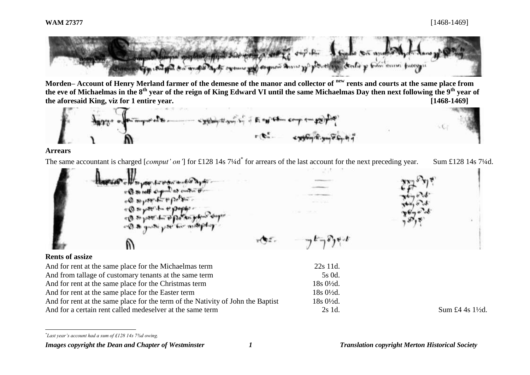

**Morden– Account of Henry Merland farmer of the demesne of the manor and collector of new rents and courts at the same place from the eve of Michaelmas in the 8th year of the reign of King Edward VI until the same Michaelmas Day then next following the 9th year of the aforesaid King, viz for 1 entire year. [1468-1469]**



#### **Arrears**

The same accountant is charged [*comput' on'*] for £128 14s 7¼d<sup>\*</sup> for arrears of the last account for the next preceding year. Sum £128 14s 7¼d.

of the way to present and a layer a Q so talk shammer as entered to  $-0.36$  of  $-6$   $+0.6$  $+0.8$  ,  $-1.99$ 

## **Rents of assize**

l

And for rent at the same place for the Michaelmas term 22s 11d. And from tallage of customary tenants at the same term 5s 0d. And for rent at the same place for the Christmas term 18s 0<sup>1</sup>/<sub>2d</sub>. And for rent at the same place for the Easter term 18s 0<sup>1</sup>/<sub>2d</sub>. And for rent at the same place for the term of the Nativity of John the Baptist 18s 0<sup>1</sup>/<sub>2d</sub>. And for a certain rent called medeselver at the same term 2s 1d. Sum £4 4s 1½d.

*\* Last year's account had a sum of £128 14s 7⅜d owing.*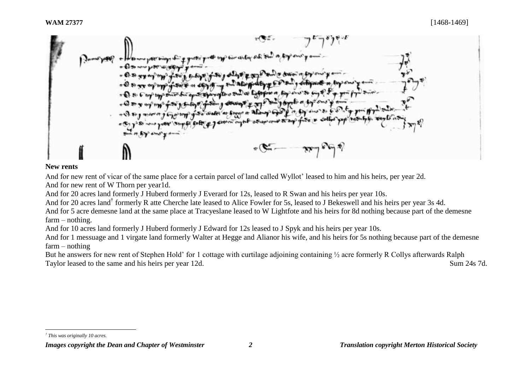

## **New rents**

And for new rent of vicar of the same place for a certain parcel of land called Wyllot' leased to him and his heirs, per year 2d. And for new rent of W Thorn per year1d.

And for 20 acres land formerly J Huberd formerly J Everard for 12s, leased to R Swan and his heirs per year 10s.

And for 20 acres land† formerly R atte Cherche late leased to Alice Fowler for 5s, leased to J Bekeswell and his heirs per year 3s 4d.

And for 5 acre demesne land at the same place at Tracyeslane leased to W Lightfote and his heirs for 8d nothing because part of the demesne farm – nothing.

And for 10 acres land formerly J Huberd formerly J Edward for 12s leased to J Spyk and his heirs per year 10s.

And for 1 messuage and 1 virgate land formerly Walter at Hegge and Alianor his wife, and his heirs for 5s nothing because part of the demesne farm – nothing

But he answers for new rent of Stephen Hold' for 1 cottage with curtilage adjoining containing  $\frac{1}{2}$  acre formerly R Collys afterwards Ralph Taylor leased to the same and his heirs per year 12d. Sum 24s 7d.

l *† This was originally 10 acres.*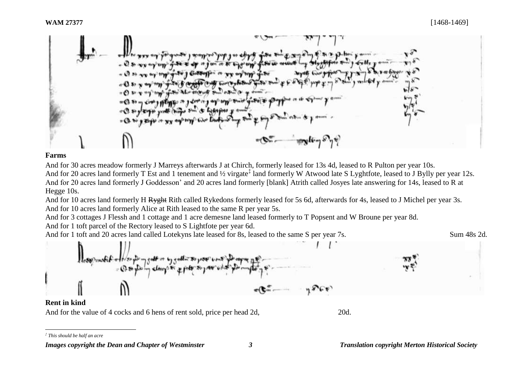

#### **Farms**

And for 30 acres meadow formerly J Marreys afterwards J at Chirch, formerly leased for 13s 4d, leased to R Pulton per year 10s. And for 20 acres land formerly T Est and 1 tenement and 1/2 virgate<sup>‡</sup> land formerly W Atwood late S Lyghtfote, leased to J Bylly per year 12s. And for 20 acres land formerly J Goddesson' and 20 acres land formerly [blank] Atrith called Josyes late answering for 14s, leased to R at

Hegge 10s.

And for 10 acres land formerly H Ryght Rith called Rykedons formerly leased for 5s 6d, afterwards for 4s, leased to J Michel per year 3s. And for 10 acres land formerly Alice at Rith leased to the same R per year 5s.

And for 3 cottages J Flessh and 1 cottage and 1 acre demesne land leased formerly to T Popsent and W Broune per year 8d.

And for 1 toft parcel of the Rectory leased to S Lightfote per year 6d.

And for 1 toft and 20 acres land called Lotekyns late leased for 8s, leased to the same S per year 7s. Sum 48s 2d.



#### **Rent in kind**

l

And for the value of 4 cocks and 6 hens of rent sold, price per head 2d, 20d.

*<sup>‡</sup> This should be half an acre*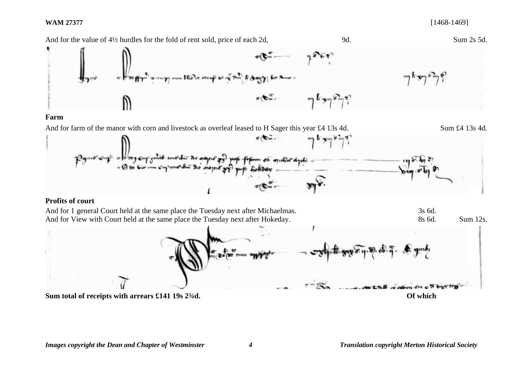### **WAM 27377** [1468-1469]

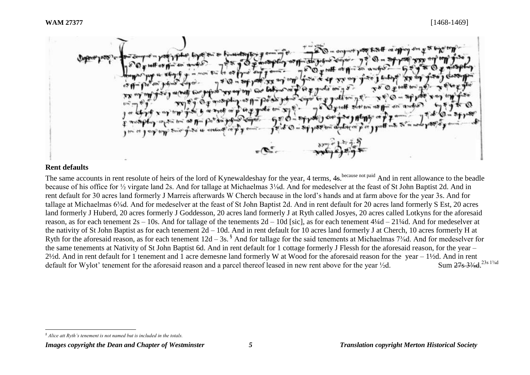

## **Rent defaults**

l

The same accounts in rent resolute of heirs of the lord of Kynewaldeshay for the year, 4 terms, 4s. because not paid And in rent allowance to the beadle because of his office for ½ virgate land 2s. And for tallage at Michaelmas 3⅛d. And for medeselver at the feast of St John Baptist 2d. And in rent default for 30 acres land formerly J Marreis afterwards W Cherch because in the lord's hands and at farm above for the year 3s. And for tallage at Michaelmas 6⅜d. And for medeselver at the feast of St John Baptist 2d. And in rent default for 20 acres land formerly S Est, 20 acres land formerly J Huberd, 20 acres formerly J Goddesson, 20 acres land formerly J at Ryth called Josyes, 20 acres called Lotkyns for the aforesaid reason, as for each tenement 2s – 10s. And for tallage of the tenements 2d – 10d [sic], as for each tenement 4¼d – 21¼d. And for medeselver at the nativity of St John Baptist as for each tenement 2d – 10d. And in rent default for 10 acres land formerly J at Cherch, 10 acres formerly H at Ryth for the aforesaid reason, as for each tenement  $12d - 3s$ .<sup>§</sup> And for tallage for the said tenements at Michaelmas 7<sup>3</sup>/<sub>8</sub>d. And for medeselver for the same tenements at Nativity of St John Baptist 6d. And in rent default for 1 cottage formerly J Flessh for the aforesaid reason, for the year – 2½d. And in rent default for 1 tenement and 1 acre demesne land formerly W at Wood for the aforesaid reason for the year – 1½d. And in rent default for Wylot' tenement for the aforesaid reason and a parcel thereof leased in new rent above for the year  $\frac{1}{2}d$ . Sum 27s 3<sup>3</sup>/<sub>x</sub>d <sup>23s 13/kd</sup>

*<sup>§</sup> Alice att Ryth's tenement is not named but is included in the totals.*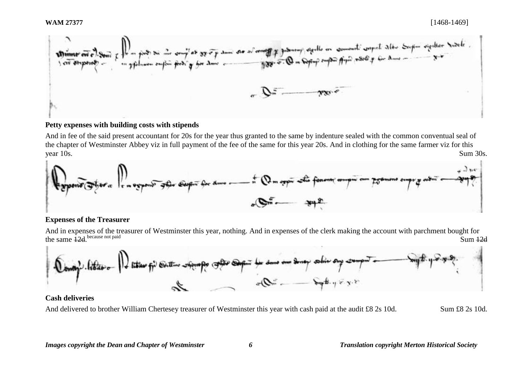

### **Petty expenses with building costs with stipends**

And in fee of the said present accountant for 20s for the year thus granted to the same by indenture sealed with the common conventual seal of the chapter of Westminster Abbey viz in full payment of the fee of the same for this year 20s. And in clothing for the same farmer viz for this year 10s. Sum 30s.



### **Expenses of the Treasurer**

And in expenses of the treasurer of Westminster this year, nothing. And in expenses of the clerk making the account with parchment bought for the same  $\frac{12}{d}$  because not paid because not paid Sum 12d



## **Cash deliveries**

And delivered to brother William Chertesey treasurer of Westminster this year with cash paid at the audit £8 2s 10d. Sum £8 2s 10d.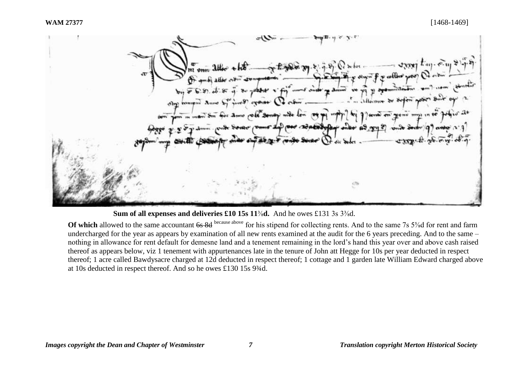



**Of which** allowed to the same accountant 6s 8d because above for his stipend for collecting rents. And to the same 7s 5<sup>5</sup>/<sub>8</sub>d for rent and farm undercharged for the year as appears by examination of all new rents examined at the audit for the 6 years preceding. And to the same – nothing in allowance for rent default for demesne land and a tenement remaining in the lord's hand this year over and above cash raised thereof as appears below, viz 1 tenement with appurtenances late in the tenure of John att Hegge for 10s per year deducted in respect thereof; 1 acre called Bawdysacre charged at 12d deducted in respect thereof; 1 cottage and 1 garden late William Edward charged above at 10s deducted in respect thereof. And so he owes £130 15s 9¾d.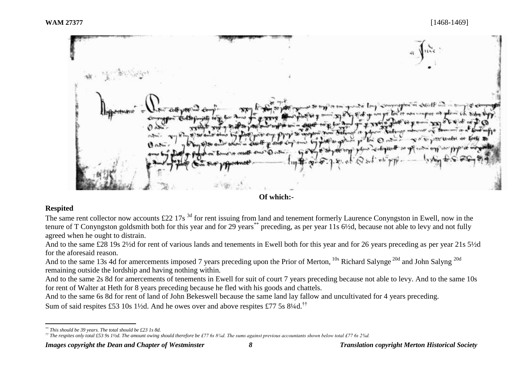**Of which:-**

# **Respited**

The same rent collector now accounts £22 17s<sup>3d</sup> for rent issuing from land and tenement formerly Laurence Conyngston in Ewell, now in the tenure of T Conyngston goldsmith both for this year and for 29 years\*\* preceding, as per year 11s 6½d, because not able to levy and not fully agreed when he ought to distrain.

And to the same £28 19s 2½d for rent of various lands and tenements in Ewell both for this year and for 26 years preceding as per year 21s 5½d for the aforesaid reason.

And to the same 13s 4d for amercements imposed 7 years preceding upon the Prior of Merton, <sup>10s</sup> Richard Salynge<sup>20d</sup> and John Salyng<sup>20d</sup> remaining outside the lordship and having nothing within*.*

And to the same 2s 8d for amercements of tenements in Ewell for suit of court 7 years preceding because not able to levy. And to the same 10s for rent of Walter at Heth for 8 years preceding because he fled with his goods and chattels.

And to the same 6s 8d for rent of land of John Bekeswell because the same land lay fallow and uncultivated for 4 years preceding.

Sum of said respites £53 10s 1 $\frac{1}{2}$ d. And he owes over and above respites £77 5s 8 $\frac{1}{4}$ d.<sup>††</sup>

 $\overline{a}$ *\*\* This should be 39 years. The total should be £23 1s 8d.*

*<sup>††</sup> The respites only total £53 9s 1½d. The amount owing should therefore be £77 6s 8¼d. The sums against previous accountants shown below total £77 6s 2⅜d.*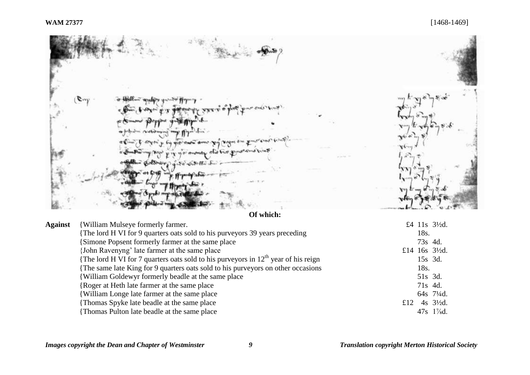$E^{\mu\nu}$  $x - 1$  and  $x -$ WHAT'S UNIVERS « N opport yn 11 **ART Commandation** in  $\rightarrow$  $\pi$ couples to the state shares of pig it is money to 中心 College  $\mathcal{L} \times \mathcal{L} \times \mathcal{L} \times \mathcal{L} \times \mathcal{L}$ 

**Of which:**

| <b>Against</b> | <b>{William Mulseye formerly farmer.</b>                                            |     |         | £4 11s 31/2d.               |
|----------------|-------------------------------------------------------------------------------------|-----|---------|-----------------------------|
|                | The lord H VI for 9 quarters oats sold to his purveyors 39 years preceding          |     | 18s.    |                             |
|                | <b>Simone Popsent formerly farmer at the same place</b>                             |     | 73s 4d. |                             |
|                | (John Ravenyng' late farmer at the same place)                                      |     |         | £14 $16s$ $3\frac{1}{2}d$ . |
|                | The lord H VI for 7 quarters oats sold to his purveyors in $12th$ year of his reign |     | 15s 3d. |                             |
|                | The same late King for 9 quarters oats sold to his purveyors on other occasions     |     | 18s.    |                             |
|                | William Goldewyr formerly beadle at the same place                                  |     | 51s 3d. |                             |
|                | Roger at Heth late farmer at the same place                                         |     | 71s 4d. |                             |
|                | William Longe late farmer at the same place                                         |     |         | 64s 71/4d.                  |
|                | Thomas Spyke late beadle at the same place                                          | £12 |         | 4s $3\frac{1}{2}d$ .        |
|                | Thomas Pulton late beadle at the same place                                         |     |         | $47s$ 1\%d.                 |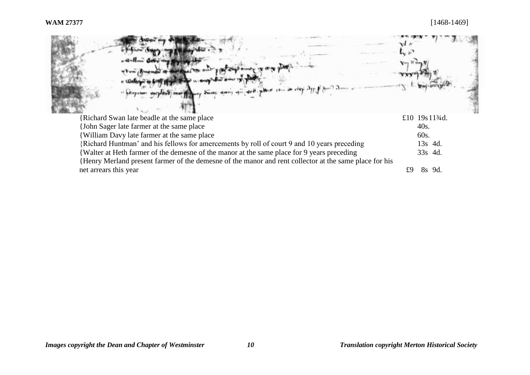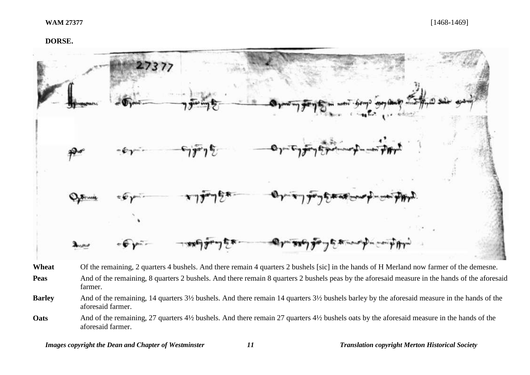### **DORSE.**



Wheat Of the remaining, 2 quarters 4 bushels. And there remain 4 quarters 2 bushels [sic] in the hands of H Merland now farmer of the demesne. Peas And of the remaining, 8 quarters 2 bushels. And there remain 8 quarters 2 bushels peas by the aforesaid measure in the hands of the aforesaid farmer.

**Barley** And of the remaining, 14 quarters 3½ bushels. And there remain 14 quarters 3½ bushels barley by the aforesaid measure in the hands of the aforesaid farmer.

**Oats** And of the remaining, 27 quarters 4½ bushels. And there remain 27 quarters 4½ bushels oats by the aforesaid measure in the hands of the aforesaid farmer.